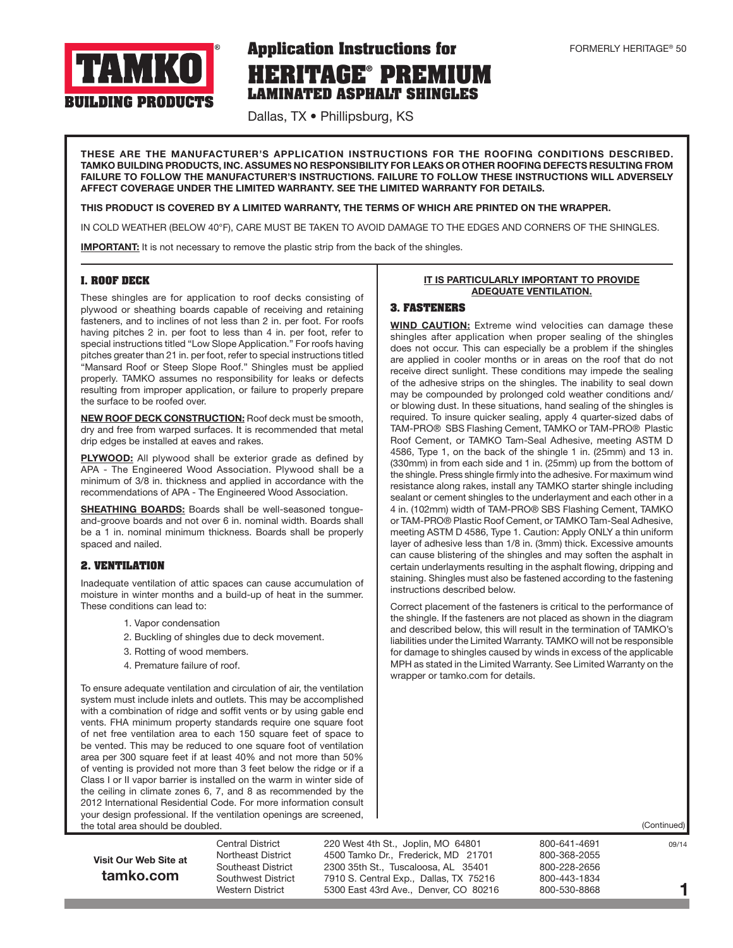

# **HERITAGE® PREMIUM LAMINATED ASPHALT SHINGLES Application Instructions for**

Dallas, TX • Phillipsburg, KS

THESE ARE THE MANUFACTURER'S APPLICATION INSTRUCTIONS FOR THE ROOFING CONDITIONS DESCRIBED. TAMKO BUILDING PRODUCTS, INC. ASSUMES NO RESPONSIBILITY FOR LEAKS OR OTHER ROOFING DEFECTS RESULTING FROM FAILURE TO FOLLOW THE MANUFACTURER'S INSTRUCTIONS. FAILURE TO FOLLOW THESE INSTRUCTIONS WILL ADVERSELY AFFECT COVERAGE UNDER THE LIMITED WARRANTY. SEE THE LIMITED WARRANTY FOR DETAILS.

#### THIS PRODUCT IS COVERED BY A LIMITED WARRANTY, THE TERMS OF WHICH ARE PRINTED ON THE WRAPPER.

IN COLD WEATHER (BELOW 40°F), CARE MUST BE TAKEN TO AVOID DAMAGE TO THE EDGES AND CORNERS OF THE SHINGLES.

**IMPORTANT:** It is not necessary to remove the plastic strip from the back of the shingles.

#### **I. ROOF DECK**

These shingles are for application to roof decks consisting of plywood or sheathing boards capable of receiving and retaining fasteners, and to inclines of not less than 2 in. per foot. For roofs having pitches 2 in. per foot to less than 4 in. per foot, refer to special instructions titled "Low Slope Application." For roofs having pitches greater than 21 in. per foot, refer to special instructions titled "Mansard Roof or Steep Slope Roof." Shingles must be applied properly. TAMKO assumes no responsibility for leaks or defects resulting from improper application, or failure to properly prepare the surface to be roofed over.

**NEW ROOF DECK CONSTRUCTION:** Roof deck must be smooth, dry and free from warped surfaces. It is recommended that metal drip edges be installed at eaves and rakes.

PLYWOOD: All plywood shall be exterior grade as defined by APA - The Engineered Wood Association. Plywood shall be a minimum of 3/8 in. thickness and applied in accordance with the recommendations of APA - The Engineered Wood Association.

SHEATHING BOARDS: Boards shall be well-seasoned tonqueand-groove boards and not over 6 in. nominal width. Boards shall be a 1 in. nominal minimum thickness. Boards shall be properly spaced and nailed.

### **2. VENTILATION**

Inadequate ventilation of attic spaces can cause accumulation of moisture in winter months and a build-up of heat in the summer. These conditions can lead to:

- 1. Vapor condensation
- 2. Buckling of shingles due to deck movement.
- 3. Rotting of wood members.
- 4. Premature failure of roof.

To ensure adequate ventilation and circulation of air, the ventilation system must include inlets and outlets. This may be accomplished with a combination of ridge and soffit vents or by using gable end vents. FHA minimum property standards require one square foot of net free ventilation area to each 150 square feet of space to be vented. This may be reduced to one square foot of ventilation area per 300 square feet if at least 40% and not more than 50% of venting is provided not more than 3 feet below the ridge or if a Class I or II vapor barrier is installed on the warm in winter side of the ceiling in climate zones 6, 7, and 8 as recommended by the 2012 International Residential Code. For more information consult your design professional. If the ventilation openings are screened, the total area should be doubled.

#### IT IS PARTICULARLY IMPORTANT TO PROVIDE ADEQUATE VENTILATION.

#### **3. FASTENERS**

WIND CAUTION: Extreme wind velocities can damage these shingles after application when proper sealing of the shingles does not occur. This can especially be a problem if the shingles are applied in cooler months or in areas on the roof that do not receive direct sunlight. These conditions may impede the sealing of the adhesive strips on the shingles. The inability to seal down may be compounded by prolonged cold weather conditions and/ or blowing dust. In these situations, hand sealing of the shingles is required. To insure quicker sealing, apply 4 quarter-sized dabs of TAM-PRO® SBS Flashing Cement, TAMKO or TAM-PRO® Plastic Roof Cement, or TAMKO Tam-Seal Adhesive, meeting ASTM D 4586, Type 1, on the back of the shingle 1 in. (25mm) and 13 in. (330mm) in from each side and 1 in. (25mm) up from the bottom of the shingle. Press shingle firmly into the adhesive. For maximum wind resistance along rakes, install any TAMKO starter shingle including sealant or cement shingles to the underlayment and each other in a 4 in. (102mm) width of TAM-PRO® SBS Flashing Cement, TAMKO or TAM-PRO® Plastic Roof Cement, or TAMKO Tam-Seal Adhesive, meeting ASTM D 4586, Type 1. Caution: Apply ONLY a thin uniform layer of adhesive less than 1/8 in. (3mm) thick. Excessive amounts can cause blistering of the shingles and may soften the asphalt in certain underlayments resulting in the asphalt flowing, dripping and staining. Shingles must also be fastened according to the fastening instructions described below.

Correct placement of the fasteners is critical to the performance of the shingle. If the fasteners are not placed as shown in the diagram and described below, this will result in the termination of TAMKO's liabilities under the Limited Warranty. TAMKO will not be responsible for damage to shingles caused by winds in excess of the applicable MPH as stated in the Limited Warranty. See Limited Warranty on the wrapper or tamko.com for details.

(Continued)

## Visit Our Web Site at tamko.com

Central District 220 West 4th St., Joplin, MO 64801 800-641-4691 69/14 Northeast District 4500 Tamko Dr., Frederick, MD 21701 800-368-2055 Southeast District 2300 35th St., Tuscaloosa, AL 35401 800-228-2656 Southwest District 7910 S. Central Exp., Dallas, TX 75216 800-443-1834<br>Western District 5300 East 43rd Ave., Denver, CO 80216 800-530-8868 Western District 5300 East 43rd Ave., Denver, CO 80216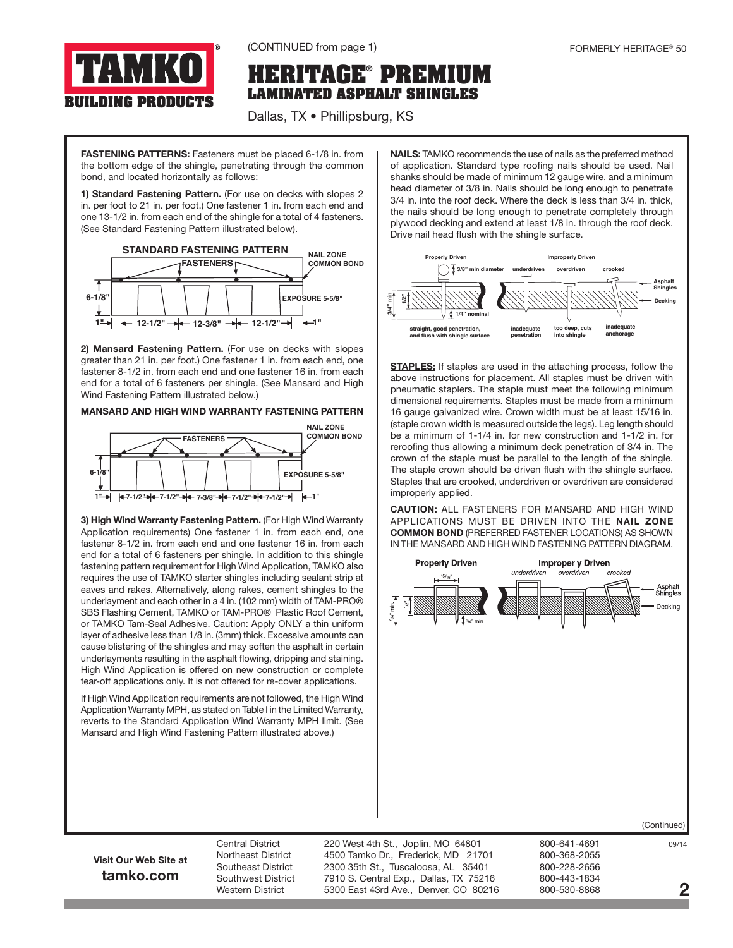

(CONTINUED from page 1)

## **HERITAGE® PREMIUM LAMINATED ASPHALT SHINGLES**

Dallas, TX • Phillipsburg, KS

FASTENING PATTERNS: Fasteners must be placed 6-1/8 in. from the bottom edge of the shingle, penetrating through the common bond, and located horizontally as follows:

1) Standard Fastening Pattern. (For use on decks with slopes 2 in. per foot to 21 in. per foot.) One fastener 1 in. from each end and one 13-1/2 in. from each end of the shingle for a total of 4 fasteners. (See Standard Fastening Pattern illustrated below).



2) Mansard Fastening Pattern. (For use on decks with slopes greater than 21 in. per foot.) One fastener 1 in. from each end, one fastener 8-1/2 in. from each end and one fastener 16 in. from each end for a total of 6 fasteners per shingle. (See Mansard and High Wind Fastening Pattern illustrated below.)

#### MANSARD AND HIGH WIND WARRANTY FASTENING PATTERN



3) High Wind Warranty Fastening Pattern. (For High Wind Warranty Application requirements) One fastener 1 in. from each end, one fastener 8-1/2 in. from each end and one fastener 16 in. from each end for a total of 6 fasteners per shingle. In addition to this shingle fastening pattern requirement for High Wind Application, TAMKO also requires the use of TAMKO starter shingles including sealant strip at eaves and rakes. Alternatively, along rakes, cement shingles to the underlayment and each other in a 4 in. (102 mm) width of TAM-PRO® SBS Flashing Cement, TAMKO or TAM-PRO® Plastic Roof Cement, or TAMKO Tam-Seal Adhesive. Caution: Apply ONLY a thin uniform layer of adhesive less than 1/8 in. (3mm) thick. Excessive amounts can cause blistering of the shingles and may soften the asphalt in certain underlayments resulting in the asphalt flowing, dripping and staining. High Wind Application is offered on new construction or complete tear-off applications only. It is not offered for re-cover applications.

If High Wind Application requirements are not followed, the High Wind Application Warranty MPH, as stated on Table I in the Limited Warranty, reverts to the Standard Application Wind Warranty MPH limit. (See Mansard and High Wind Fastening Pattern illustrated above.)

NAILS: TAMKO recommends the use of nails as the preferred method of application. Standard type roofing nails should be used. Nail shanks should be made of minimum 12 gauge wire, and a minimum head diameter of 3/8 in. Nails should be long enough to penetrate 3/4 in. into the roof deck. Where the deck is less than 3/4 in. thick, the nails should be long enough to penetrate completely through plywood decking and extend at least 1/8 in. through the roof deck. Drive nail head flush with the shingle surface.



**STAPLES:** If staples are used in the attaching process, follow the above instructions for placement. All staples must be driven with pneumatic staplers. The staple must meet the following minimum dimensional requirements. Staples must be made from a minimum 16 gauge galvanized wire. Crown width must be at least 15/16 in. (staple crown width is measured outside the legs). Leg length should be a minimum of 1-1/4 in. for new construction and 1-1/2 in. for reroofing thus allowing a minimum deck penetration of 3/4 in. The crown of the staple must be parallel to the length of the shingle. The staple crown should be driven flush with the shingle surface. Staples that are crooked, underdriven or overdriven are considered improperly applied.

**CAUTION:** ALL FASTENERS FOR MANSARD AND HIGH WIND APPLICATIONS MUST BE DRIVEN INTO THE NAIL ZONE COMMON BOND (PREFERRED FASTENER LOCATIONS) AS SHOWN IN THE MANSARD AND HIGH WIND FASTENING PATTERN DIAGRAM.



Visit Our Web Site at tamko.com

Northeast District 4500 Tamko Dr., Frederick, MD 21701 800-368-2055 Southeast District 2300 35th St., Tuscaloosa, AL 35401 800-228-2656 Southwest District 7910 S. Central Exp., Dallas, TX 75216 800-443-1834 Western District 5300 East 43rd Ave., Denver, CO 80216 800-530-8868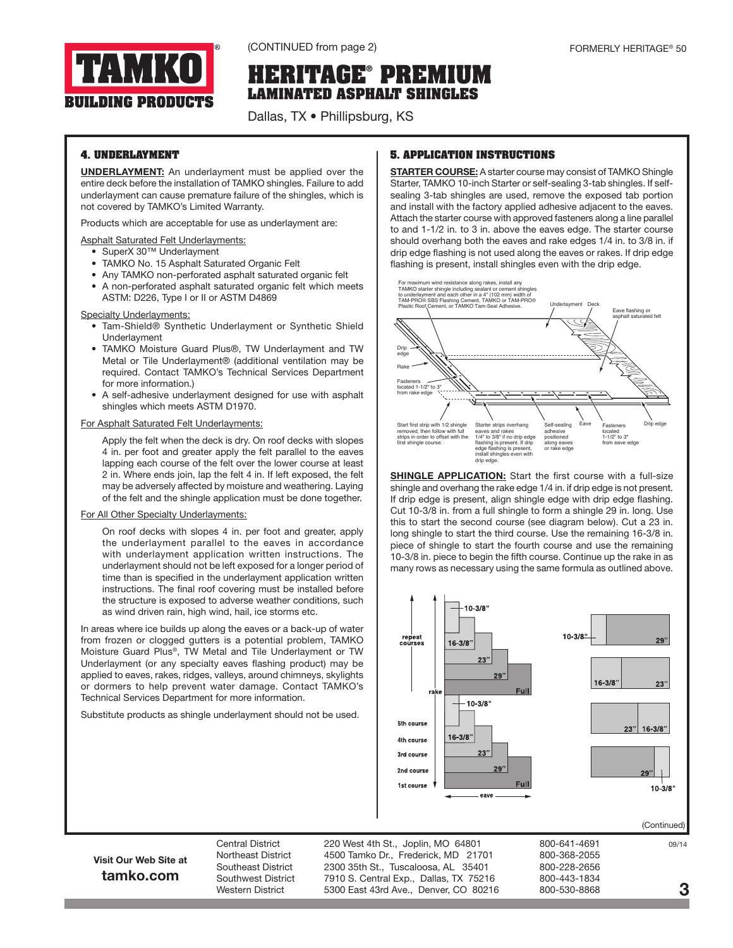

(CONTINUED from page 2) 60 and 50 and 50 and 50 and 50 and 50 and 50 and 50 and 50 and 50 and 50 and 50 and 50 and 50 and 50 and 50 and 50 and 50 and 50 and 50 and 50 and 50 and 50 and 50 and 50 and 50 and 50 and 50 and 50

# **HERITAGE® PREMIUM LAMINATED ASPHALT SHINGLES**

Dallas, TX • Phillipsburg, KS

## **4. UNDERLAYMENT**

UNDERLAYMENT: An underlayment must be applied over the entire deck before the installation of TAMKO shingles. Failure to add underlayment can cause premature failure of the shingles, which is not covered by TAMKO's Limited Warranty.

Products which are acceptable for use as underlayment are:

#### Asphalt Saturated Felt Underlayments:

- SuperX 30™ Underlayment
- TAMKO No. 15 Asphalt Saturated Organic Felt
- Any TAMKO non-perforated asphalt saturated organic felt
- A non-perforated asphalt saturated organic felt which meets ASTM: D226, Type I or II or ASTM D4869

#### **Specialty Underlayments:**

- Tam-Shield® Synthetic Underlayment or Synthetic Shield Underlayment
- TAMKO Moisture Guard Plus®, TW Underlayment and TW Metal or Tile Underlayment® (additional ventilation may be required. Contact TAMKO's Technical Services Department for more information.)
- A self-adhesive underlayment designed for use with asphalt shingles which meets ASTM D1970.

#### For Asphalt Saturated Felt Underlayments:

Apply the felt when the deck is dry. On roof decks with slopes 4 in. per foot and greater apply the felt parallel to the eaves lapping each course of the felt over the lower course at least 2 in. Where ends join, lap the felt 4 in. If left exposed, the felt may be adversely affected by moisture and weathering. Laying of the felt and the shingle application must be done together.

#### For All Other Specialty Underlayments:

On roof decks with slopes 4 in. per foot and greater, apply the underlayment parallel to the eaves in accordance with underlayment application written instructions. The underlayment should not be left exposed for a longer period of time than is specified in the underlayment application written instructions. The final roof covering must be installed before the structure is exposed to adverse weather conditions, such as wind driven rain, high wind, hail, ice storms etc.

In areas where ice builds up along the eaves or a back-up of water from frozen or clogged gutters is a potential problem, TAMKO Moisture Guard Plus®, TW Metal and Tile Underlayment or TW Underlayment (or any specialty eaves flashing product) may be applied to eaves, rakes, ridges, valleys, around chimneys, skylights or dormers to help prevent water damage. Contact TAMKO's Technical Services Department for more information.

Substitute products as shingle underlayment should not be used.

## **5. APPLICATION INSTRUCTIONS**

**STARTER COURSE:** A starter course may consist of TAMKO Shingle Starter, TAMKO 10-inch Starter or self-sealing 3-tab shingles. If selfsealing 3-tab shingles are used, remove the exposed tab portion and install with the factory applied adhesive adjacent to the eaves. Attach the starter course with approved fasteners along a line parallel to and 1-1/2 in. to 3 in. above the eaves edge. The starter course should overhang both the eaves and rake edges 1/4 in. to 3/8 in. if drip edge flashing is not used along the eaves or rakes. If drip edge flashing is present, install shingles even with the drip edge.



SHINGLE APPLICATION: Start the first course with a full-size shingle and overhang the rake edge 1/4 in. if drip edge is not present. If drip edge is present, align shingle edge with drip edge flashing. Cut 10-3/8 in. from a full shingle to form a shingle 29 in. long. Use this to start the second course (see diagram below). Cut a 23 in. long shingle to start the third course. Use the remaining 16-3/8 in. piece of shingle to start the fourth course and use the remaining 10-3/8 in. piece to begin the fifth course. Continue up the rake in as many rows as necessary using the same formula as outlined above.



(Continued)

## Visit Our Web Site at tamko.com

Central District 220 West 4th St., Joplin, MO 64801 800-641-4691 99/14 Northeast District 4500 Tamko Dr., Frederick, MD 21701 800-368-2055 Southeast District 2300 35th St., Tuscaloosa, AL 35401 800-228-2656 Southwest District a at 0.5. Central Exp., Dallas, TX 75216 800-443-1834<br>Western District a beat 43rd Ave., Denver, CO 80216 800-530-8868 Western District 5300 East 43rd Ave., Denver, CO 80216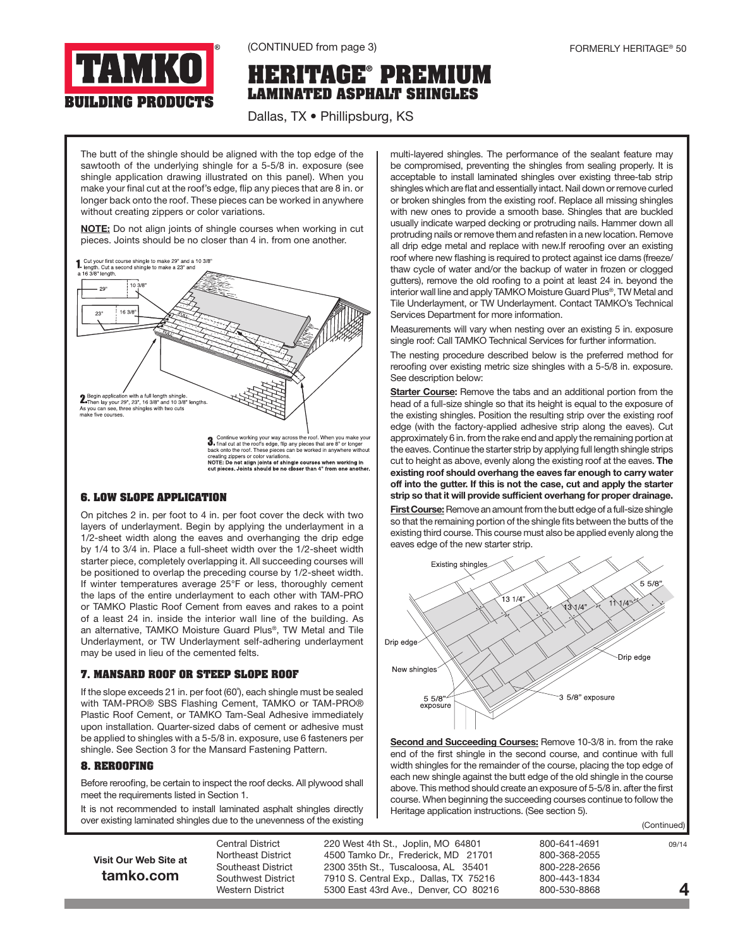

(CONTINUED from page 3)

# **HERITAGE® PREMIUM LAMINATED ASPHALT SHINGLES**

Dallas, TX • Phillipsburg, KS

The butt of the shingle should be aligned with the top edge of the sawtooth of the underlying shingle for a 5-5/8 in. exposure (see shingle application drawing illustrated on this panel). When you make your final cut at the roof's edge, flip any pieces that are 8 in. or longer back onto the roof. These pieces can be worked in anywhere without creating zippers or color variations.

NOTE: Do not align joints of shingle courses when working in cut pieces. Joints should be no closer than 4 in. from one another.



## **6. LOW SLOPE APPLICATION**

On pitches 2 in. per foot to 4 in. per foot cover the deck with two layers of underlayment. Begin by applying the underlayment in a 1/2-sheet width along the eaves and overhanging the drip edge by 1/4 to 3/4 in. Place a full-sheet width over the 1/2-sheet width starter piece, completely overlapping it. All succeeding courses will be positioned to overlap the preceding course by 1/2-sheet width. If winter temperatures average 25°F or less, thoroughly cement the laps of the entire underlayment to each other with TAM-PRO or TAMKO Plastic Roof Cement from eaves and rakes to a point of a least 24 in. inside the interior wall line of the building. As an alternative, TAMKO Moisture Guard Plus®, TW Metal and Tile Underlayment, or TW Underlayment self-adhering underlayment may be used in lieu of the cemented felts.

## **7. MANSARD ROOF OR STEEP SLOPE ROOF**

If the slope exceeds 21 in. per foot (60˚), each shingle must be sealed with TAM-PRO® SBS Flashing Cement, TAMKO or TAM-PRO® Plastic Roof Cement, or TAMKO Tam-Seal Adhesive immediately upon installation. Quarter-sized dabs of cement or adhesive must be applied to shingles with a 5-5/8 in. exposure, use 6 fasteners per shingle. See Section 3 for the Mansard Fastening Pattern.

## **8. REROOFING**

Before reroofing, be certain to inspect the roof decks. All plywood shall meet the requirements listed in Section 1.

It is not recommended to install laminated asphalt shingles directly over existing laminated shingles due to the unevenness of the existing

multi-layered shingles. The performance of the sealant feature may be compromised, preventing the shingles from sealing properly. It is acceptable to install laminated shingles over existing three-tab strip shingles which are flat and essentially intact. Nail down or remove curled or broken shingles from the existing roof. Replace all missing shingles with new ones to provide a smooth base. Shingles that are buckled usually indicate warped decking or protruding nails. Hammer down all protruding nails or remove them and refasten in a new location. Remove all drip edge metal and replace with new.If reroofing over an existing roof where new flashing is required to protect against ice dams (freeze/ thaw cycle of water and/or the backup of water in frozen or clogged gutters), remove the old roofing to a point at least 24 in. beyond the interior wall line and apply TAMKO Moisture Guard Plus®, TW Metal and Tile Underlayment, or TW Underlayment. Contact TAMKO's Technical Services Department for more information.

Measurements will vary when nesting over an existing 5 in. exposure single roof: Call TAMKO Technical Services for further information.

The nesting procedure described below is the preferred method for reroofing over existing metric size shingles with a 5-5/8 in. exposure. See description below:

Starter Course: Remove the tabs and an additional portion from the head of a full-size shingle so that its height is equal to the exposure of the existing shingles. Position the resulting strip over the existing roof edge (with the factory-applied adhesive strip along the eaves). Cut approximately 6 in. from the rake end and apply the remaining portion at the eaves. Continue the starter strip by applying full length shingle strips cut to height as above, evenly along the existing roof at the eaves. The existing roof should overhang the eaves far enough to carry water off into the gutter. If this is not the case, cut and apply the starter strip so that it will provide sufficient overhang for proper drainage.

First Course: Remove an amount from the butt edge of a full-size shingle so that the remaining portion of the shingle fits between the butts of the existing third course. This course must also be applied evenly along the eaves edge of the new starter strip.



Second and Succeeding Courses: Remove 10-3/8 in. from the rake end of the first shingle in the second course, and continue with full width shingles for the remainder of the course, placing the top edge of each new shingle against the butt edge of the old shingle in the course above. This method should create an exposure of 5-5/8 in. after the first course. When beginning the succeeding courses continue to follow the Heritage application instructions. (See section 5).

(Continued)

| Visit Our Web Site at |  |
|-----------------------|--|
| tamko.com             |  |

Central District 220 West 4th St., Joplin, MO 64801 800-641-4691 99/14 Northeast District 4500 Tamko Dr., Frederick, MD 21701 800-368-2055 Southeast District 2300 35th St., Tuscaloosa, AL 35401 800-228-2656 Southwest District 7910 S. Central Exp., Dallas, TX 75216 800-443-1834<br>Western District 5300 East 43rd Ave Denver CO 80216 800-530-8868 Western District 5300 East 43rd Ave., Denver, CO 80216

4